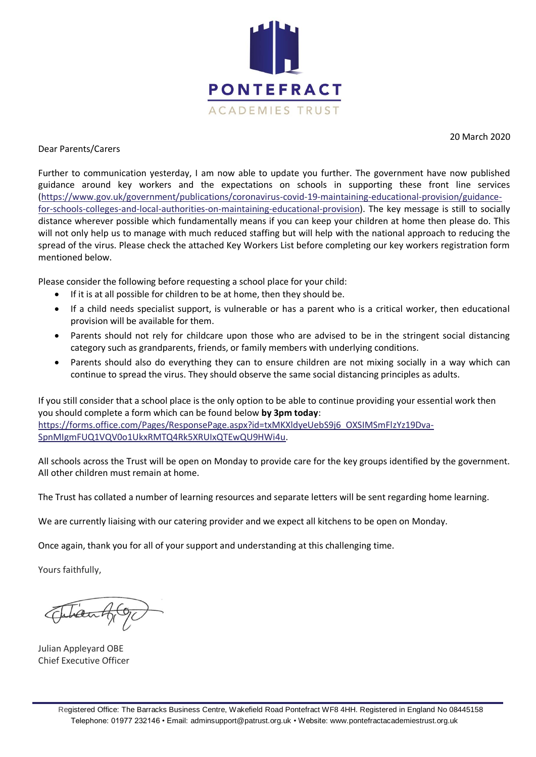

20 March 2020

#### Dear Parents/Carers

Further to communication yesterday, I am now able to update you further. The government have now published guidance around key workers and the expectations on schools in supporting these front line services [\(https://www.gov.uk/government/publications/coronavirus-covid-19-maintaining-educational-provision/guidance](https://www.gov.uk/government/publications/coronavirus-covid-19-maintaining-educational-provision/guidance-for-schools-colleges-and-local-authorities-on-maintaining-educational-provision)[for-schools-colleges-and-local-authorities-on-maintaining-educational-provision\)](https://www.gov.uk/government/publications/coronavirus-covid-19-maintaining-educational-provision/guidance-for-schools-colleges-and-local-authorities-on-maintaining-educational-provision). The key message is still to socially distance wherever possible which fundamentally means if you can keep your children at home then please do. This will not only help us to manage with much reduced staffing but will help with the national approach to reducing the spread of the virus. Please check the attached Key Workers List before completing our key workers registration form mentioned below.

Please consider the following before requesting a school place for your child:

- If it is at all possible for children to be at home, then they should be.
- If a child needs specialist support, is vulnerable or has a parent who is a critical worker, then educational provision will be available for them.
- Parents should not rely for childcare upon those who are advised to be in the stringent social distancing category such as grandparents, friends, or family members with underlying conditions.
- Parents should also do everything they can to ensure children are not mixing socially in a way which can continue to spread the virus. They should observe the same social distancing principles as adults.

If you still consider that a school place is the only option to be able to continue providing your essential work then you should complete a form which can be found below **by 3pm today**: [https://forms.office.com/Pages/ResponsePage.aspx?id=txMKXldyeUebS9j6\\_OXSIMSmFlzYz19Dva-](https://forms.office.com/Pages/ResponsePage.aspx?id=txMKXldyeUebS9j6_OXSIMSmFlzYz19Dva-SpnMIgmFUQ1VQV0o1UkxRMTQ4Rk5XRUIxQTEwQU9HWi4u)[SpnMIgmFUQ1VQV0o1UkxRMTQ4Rk5XRUIxQTEwQU9HWi4u.](https://forms.office.com/Pages/ResponsePage.aspx?id=txMKXldyeUebS9j6_OXSIMSmFlzYz19Dva-SpnMIgmFUQ1VQV0o1UkxRMTQ4Rk5XRUIxQTEwQU9HWi4u)

All schools across the Trust will be open on Monday to provide care for the key groups identified by the government. All other children must remain at home.

The Trust has collated a number of learning resources and separate letters will be sent regarding home learning.

We are currently liaising with our catering provider and we expect all kitchens to be open on Monday.

Once again, thank you for all of your support and understanding at this challenging time.

Yours faithfully,

Julian Appleyard OBE Chief Executive Officer